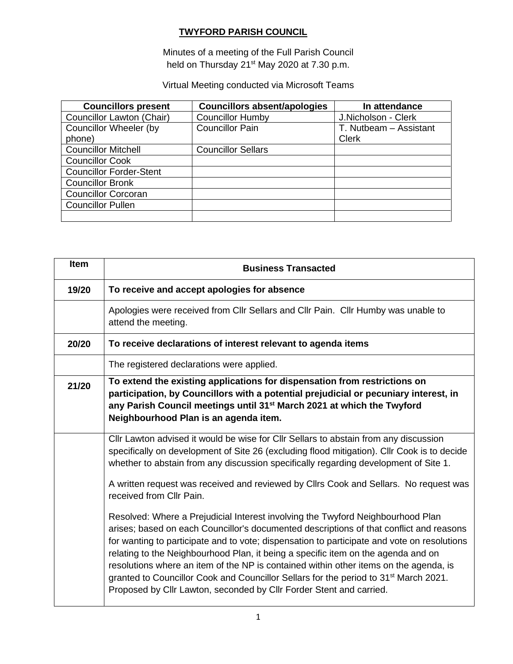#### **TWYFORD PARISH COUNCIL**

Minutes of a meeting of the Full Parish Council held on Thursday 21<sup>st</sup> May 2020 at 7.30 p.m.

Virtual Meeting conducted via Microsoft Teams

| <b>Councillors present</b>     | <b>Councillors absent/apologies</b> | In attendance          |
|--------------------------------|-------------------------------------|------------------------|
| Councillor Lawton (Chair)      | <b>Councillor Humby</b>             | J.Nicholson - Clerk    |
| <b>Councillor Wheeler (by</b>  | <b>Councillor Pain</b>              | T. Nutbeam - Assistant |
| phone)                         |                                     | <b>Clerk</b>           |
| <b>Councillor Mitchell</b>     | <b>Councillor Sellars</b>           |                        |
| <b>Councillor Cook</b>         |                                     |                        |
| <b>Councillor Forder-Stent</b> |                                     |                        |
| <b>Councillor Bronk</b>        |                                     |                        |
| <b>Councillor Corcoran</b>     |                                     |                        |
| <b>Councillor Pullen</b>       |                                     |                        |
|                                |                                     |                        |

| <b>Item</b> | <b>Business Transacted</b>                                                                                                                                                                                                                                                                                                                                                                                                                                                                                                                                                                                                                                                                                                                                                                                                                                                                                                                                                                                                             |  |  |  |
|-------------|----------------------------------------------------------------------------------------------------------------------------------------------------------------------------------------------------------------------------------------------------------------------------------------------------------------------------------------------------------------------------------------------------------------------------------------------------------------------------------------------------------------------------------------------------------------------------------------------------------------------------------------------------------------------------------------------------------------------------------------------------------------------------------------------------------------------------------------------------------------------------------------------------------------------------------------------------------------------------------------------------------------------------------------|--|--|--|
| 19/20       | To receive and accept apologies for absence                                                                                                                                                                                                                                                                                                                                                                                                                                                                                                                                                                                                                                                                                                                                                                                                                                                                                                                                                                                            |  |  |  |
|             | Apologies were received from Cllr Sellars and Cllr Pain. Cllr Humby was unable to<br>attend the meeting.                                                                                                                                                                                                                                                                                                                                                                                                                                                                                                                                                                                                                                                                                                                                                                                                                                                                                                                               |  |  |  |
| 20/20       | To receive declarations of interest relevant to agenda items                                                                                                                                                                                                                                                                                                                                                                                                                                                                                                                                                                                                                                                                                                                                                                                                                                                                                                                                                                           |  |  |  |
|             | The registered declarations were applied.                                                                                                                                                                                                                                                                                                                                                                                                                                                                                                                                                                                                                                                                                                                                                                                                                                                                                                                                                                                              |  |  |  |
| 21/20       | To extend the existing applications for dispensation from restrictions on<br>participation, by Councillors with a potential prejudicial or pecuniary interest, in<br>any Parish Council meetings until 31 <sup>st</sup> March 2021 at which the Twyford<br>Neighbourhood Plan is an agenda item.                                                                                                                                                                                                                                                                                                                                                                                                                                                                                                                                                                                                                                                                                                                                       |  |  |  |
|             | Cllr Lawton advised it would be wise for Cllr Sellars to abstain from any discussion<br>specifically on development of Site 26 (excluding flood mitigation). Cllr Cook is to decide<br>whether to abstain from any discussion specifically regarding development of Site 1.<br>A written request was received and reviewed by Cllrs Cook and Sellars. No request was<br>received from Cllr Pain.<br>Resolved: Where a Prejudicial Interest involving the Twyford Neighbourhood Plan<br>arises; based on each Councillor's documented descriptions of that conflict and reasons<br>for wanting to participate and to vote; dispensation to participate and vote on resolutions<br>relating to the Neighbourhood Plan, it being a specific item on the agenda and on<br>resolutions where an item of the NP is contained within other items on the agenda, is<br>granted to Councillor Cook and Councillor Sellars for the period to 31 <sup>st</sup> March 2021.<br>Proposed by Cllr Lawton, seconded by Cllr Forder Stent and carried. |  |  |  |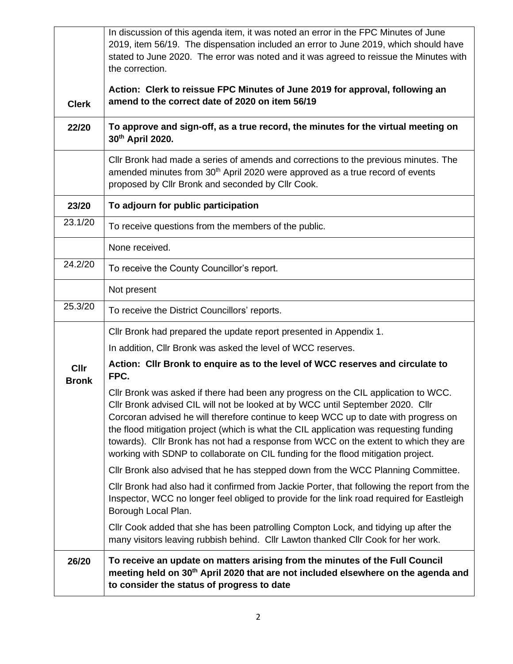|                             | In discussion of this agenda item, it was noted an error in the FPC Minutes of June                                                                                                                                                                                                                                                                                                                                                                                                                                                |
|-----------------------------|------------------------------------------------------------------------------------------------------------------------------------------------------------------------------------------------------------------------------------------------------------------------------------------------------------------------------------------------------------------------------------------------------------------------------------------------------------------------------------------------------------------------------------|
|                             | 2019, item 56/19. The dispensation included an error to June 2019, which should have<br>stated to June 2020. The error was noted and it was agreed to reissue the Minutes with                                                                                                                                                                                                                                                                                                                                                     |
|                             | the correction.                                                                                                                                                                                                                                                                                                                                                                                                                                                                                                                    |
|                             | Action: Clerk to reissue FPC Minutes of June 2019 for approval, following an                                                                                                                                                                                                                                                                                                                                                                                                                                                       |
| <b>Clerk</b>                | amend to the correct date of 2020 on item 56/19                                                                                                                                                                                                                                                                                                                                                                                                                                                                                    |
| 22/20                       | To approve and sign-off, as a true record, the minutes for the virtual meeting on<br>30th April 2020.                                                                                                                                                                                                                                                                                                                                                                                                                              |
|                             | CIIr Bronk had made a series of amends and corrections to the previous minutes. The<br>amended minutes from 30 <sup>th</sup> April 2020 were approved as a true record of events<br>proposed by Cllr Bronk and seconded by Cllr Cook.                                                                                                                                                                                                                                                                                              |
| 23/20                       | To adjourn for public participation                                                                                                                                                                                                                                                                                                                                                                                                                                                                                                |
| 23.1/20                     | To receive questions from the members of the public.                                                                                                                                                                                                                                                                                                                                                                                                                                                                               |
|                             | None received.                                                                                                                                                                                                                                                                                                                                                                                                                                                                                                                     |
| 24.2/20                     | To receive the County Councillor's report.                                                                                                                                                                                                                                                                                                                                                                                                                                                                                         |
|                             | Not present                                                                                                                                                                                                                                                                                                                                                                                                                                                                                                                        |
| 25.3/20                     | To receive the District Councillors' reports.                                                                                                                                                                                                                                                                                                                                                                                                                                                                                      |
|                             | Cllr Bronk had prepared the update report presented in Appendix 1.                                                                                                                                                                                                                                                                                                                                                                                                                                                                 |
|                             | In addition, Cllr Bronk was asked the level of WCC reserves.                                                                                                                                                                                                                                                                                                                                                                                                                                                                       |
| <b>Cllr</b><br><b>Bronk</b> | Action: Cllr Bronk to enquire as to the level of WCC reserves and circulate to<br>FPC.                                                                                                                                                                                                                                                                                                                                                                                                                                             |
|                             | Cllr Bronk was asked if there had been any progress on the CIL application to WCC.<br>Cllr Bronk advised CIL will not be looked at by WCC until September 2020. Cllr<br>Corcoran advised he will therefore continue to keep WCC up to date with progress on<br>the flood mitigation project (which is what the CIL application was requesting funding<br>towards). Cllr Bronk has not had a response from WCC on the extent to which they are<br>working with SDNP to collaborate on CIL funding for the flood mitigation project. |
|                             | CIIr Bronk also advised that he has stepped down from the WCC Planning Committee.                                                                                                                                                                                                                                                                                                                                                                                                                                                  |
|                             | CIIr Bronk had also had it confirmed from Jackie Porter, that following the report from the<br>Inspector, WCC no longer feel obliged to provide for the link road required for Eastleigh<br>Borough Local Plan.                                                                                                                                                                                                                                                                                                                    |
|                             | CIIr Cook added that she has been patrolling Compton Lock, and tidying up after the<br>many visitors leaving rubbish behind. Cllr Lawton thanked Cllr Cook for her work.                                                                                                                                                                                                                                                                                                                                                           |
| 26/20                       | To receive an update on matters arising from the minutes of the Full Council<br>meeting held on 30 <sup>th</sup> April 2020 that are not included elsewhere on the agenda and<br>to consider the status of progress to date                                                                                                                                                                                                                                                                                                        |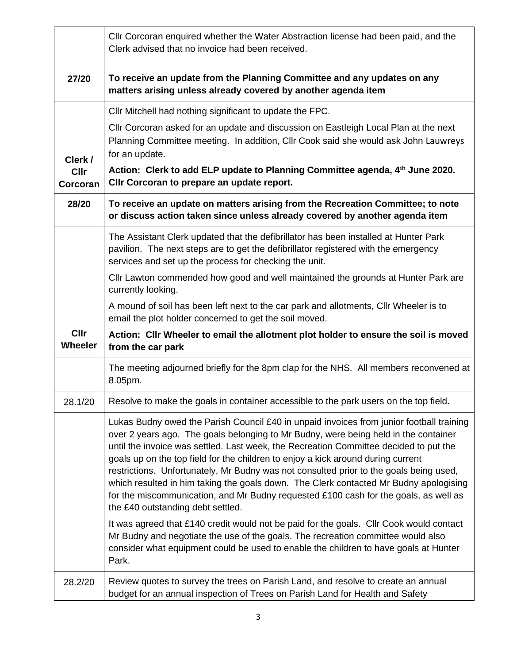|                        | CIIr Corcoran enquired whether the Water Abstraction license had been paid, and the<br>Clerk advised that no invoice had been received.                                                                                                                                                                                                                                                                                                                                                                                                                                                                                                                                      |
|------------------------|------------------------------------------------------------------------------------------------------------------------------------------------------------------------------------------------------------------------------------------------------------------------------------------------------------------------------------------------------------------------------------------------------------------------------------------------------------------------------------------------------------------------------------------------------------------------------------------------------------------------------------------------------------------------------|
| 27/20                  | To receive an update from the Planning Committee and any updates on any<br>matters arising unless already covered by another agenda item                                                                                                                                                                                                                                                                                                                                                                                                                                                                                                                                     |
| Clerk /<br><b>Cllr</b> | Cllr Mitchell had nothing significant to update the FPC.<br>Cllr Corcoran asked for an update and discussion on Eastleigh Local Plan at the next<br>Planning Committee meeting. In addition, Cllr Cook said she would ask John Lauwreys<br>for an update.<br>Action: Clerk to add ELP update to Planning Committee agenda, 4th June 2020.                                                                                                                                                                                                                                                                                                                                    |
| Corcoran               | CIIr Corcoran to prepare an update report.                                                                                                                                                                                                                                                                                                                                                                                                                                                                                                                                                                                                                                   |
| 28/20                  | To receive an update on matters arising from the Recreation Committee; to note<br>or discuss action taken since unless already covered by another agenda item                                                                                                                                                                                                                                                                                                                                                                                                                                                                                                                |
|                        | The Assistant Clerk updated that the defibrillator has been installed at Hunter Park<br>pavilion. The next steps are to get the defibrillator registered with the emergency<br>services and set up the process for checking the unit.                                                                                                                                                                                                                                                                                                                                                                                                                                        |
|                        | CIIr Lawton commended how good and well maintained the grounds at Hunter Park are<br>currently looking.                                                                                                                                                                                                                                                                                                                                                                                                                                                                                                                                                                      |
|                        | A mound of soil has been left next to the car park and allotments, Cllr Wheeler is to<br>email the plot holder concerned to get the soil moved.                                                                                                                                                                                                                                                                                                                                                                                                                                                                                                                              |
| Cllr<br>Wheeler        | Action: Cllr Wheeler to email the allotment plot holder to ensure the soil is moved<br>from the car park                                                                                                                                                                                                                                                                                                                                                                                                                                                                                                                                                                     |
|                        | The meeting adjourned briefly for the 8pm clap for the NHS. All members reconvened at<br>8.05pm.                                                                                                                                                                                                                                                                                                                                                                                                                                                                                                                                                                             |
| 28.1/20                | Resolve to make the goals in container accessible to the park users on the top field.                                                                                                                                                                                                                                                                                                                                                                                                                                                                                                                                                                                        |
|                        | Lukas Budny owed the Parish Council £40 in unpaid invoices from junior football training<br>over 2 years ago. The goals belonging to Mr Budny, were being held in the container<br>until the invoice was settled. Last week, the Recreation Committee decided to put the<br>goals up on the top field for the children to enjoy a kick around during current<br>restrictions. Unfortunately, Mr Budny was not consulted prior to the goals being used,<br>which resulted in him taking the goals down. The Clerk contacted Mr Budny apologising<br>for the miscommunication, and Mr Budny requested £100 cash for the goals, as well as<br>the £40 outstanding debt settled. |
|                        | It was agreed that £140 credit would not be paid for the goals. Cllr Cook would contact<br>Mr Budny and negotiate the use of the goals. The recreation committee would also<br>consider what equipment could be used to enable the children to have goals at Hunter<br>Park.                                                                                                                                                                                                                                                                                                                                                                                                 |
| 28.2/20                | Review quotes to survey the trees on Parish Land, and resolve to create an annual<br>budget for an annual inspection of Trees on Parish Land for Health and Safety                                                                                                                                                                                                                                                                                                                                                                                                                                                                                                           |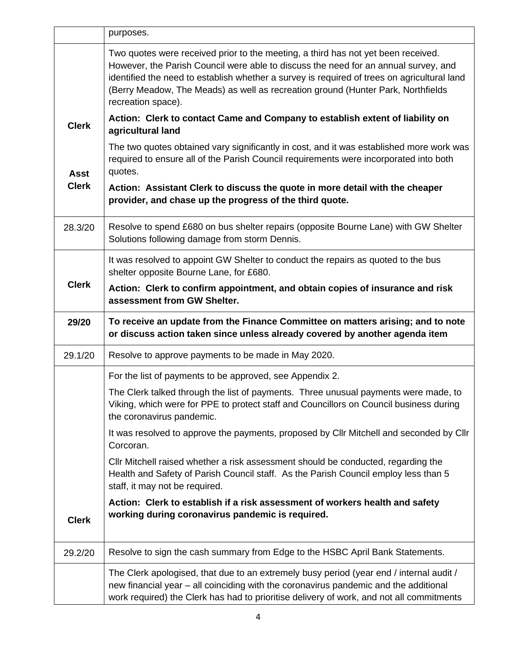|              | purposes.                                                                                                                                                                                                                                                                                                                                                                         |  |  |  |  |
|--------------|-----------------------------------------------------------------------------------------------------------------------------------------------------------------------------------------------------------------------------------------------------------------------------------------------------------------------------------------------------------------------------------|--|--|--|--|
|              | Two quotes were received prior to the meeting, a third has not yet been received.<br>However, the Parish Council were able to discuss the need for an annual survey, and<br>identified the need to establish whether a survey is required of trees on agricultural land<br>(Berry Meadow, The Meads) as well as recreation ground (Hunter Park, Northfields<br>recreation space). |  |  |  |  |
| <b>Clerk</b> | Action: Clerk to contact Came and Company to establish extent of liability on<br>agricultural land                                                                                                                                                                                                                                                                                |  |  |  |  |
| <b>Asst</b>  | The two quotes obtained vary significantly in cost, and it was established more work was<br>required to ensure all of the Parish Council requirements were incorporated into both<br>quotes.                                                                                                                                                                                      |  |  |  |  |
| <b>Clerk</b> | Action: Assistant Clerk to discuss the quote in more detail with the cheaper<br>provider, and chase up the progress of the third quote.                                                                                                                                                                                                                                           |  |  |  |  |
| 28.3/20      | Resolve to spend £680 on bus shelter repairs (opposite Bourne Lane) with GW Shelter<br>Solutions following damage from storm Dennis.                                                                                                                                                                                                                                              |  |  |  |  |
|              | It was resolved to appoint GW Shelter to conduct the repairs as quoted to the bus<br>shelter opposite Bourne Lane, for £680.                                                                                                                                                                                                                                                      |  |  |  |  |
| <b>Clerk</b> | Action: Clerk to confirm appointment, and obtain copies of insurance and risk<br>assessment from GW Shelter.                                                                                                                                                                                                                                                                      |  |  |  |  |
|              |                                                                                                                                                                                                                                                                                                                                                                                   |  |  |  |  |
| 29/20        | To receive an update from the Finance Committee on matters arising; and to note<br>or discuss action taken since unless already covered by another agenda item                                                                                                                                                                                                                    |  |  |  |  |
| 29.1/20      | Resolve to approve payments to be made in May 2020.                                                                                                                                                                                                                                                                                                                               |  |  |  |  |
|              | For the list of payments to be approved, see Appendix 2.                                                                                                                                                                                                                                                                                                                          |  |  |  |  |
|              | The Clerk talked through the list of payments. Three unusual payments were made, to<br>Viking, which were for PPE to protect staff and Councillors on Council business during<br>the coronavirus pandemic.                                                                                                                                                                        |  |  |  |  |
|              | It was resolved to approve the payments, proposed by Cllr Mitchell and seconded by Cllr<br>Corcoran.                                                                                                                                                                                                                                                                              |  |  |  |  |
|              | CIIr Mitchell raised whether a risk assessment should be conducted, regarding the<br>Health and Safety of Parish Council staff. As the Parish Council employ less than 5<br>staff, it may not be required.                                                                                                                                                                        |  |  |  |  |
| <b>Clerk</b> | Action: Clerk to establish if a risk assessment of workers health and safety<br>working during coronavirus pandemic is required.                                                                                                                                                                                                                                                  |  |  |  |  |
| 29.2/20      | Resolve to sign the cash summary from Edge to the HSBC April Bank Statements.                                                                                                                                                                                                                                                                                                     |  |  |  |  |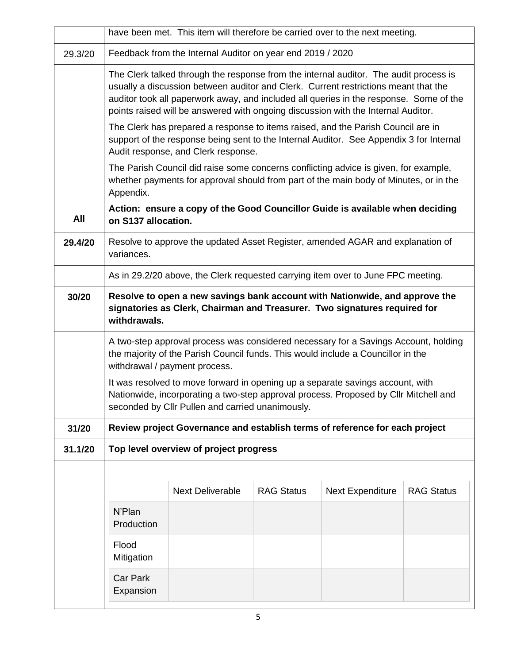|         | have been met. This item will therefore be carried over to the next meeting.                                                                                                                                                                                                                                                                                |                                                                                  |  |  |  |  |  |  |  |
|---------|-------------------------------------------------------------------------------------------------------------------------------------------------------------------------------------------------------------------------------------------------------------------------------------------------------------------------------------------------------------|----------------------------------------------------------------------------------|--|--|--|--|--|--|--|
| 29.3/20 | Feedback from the Internal Auditor on year end 2019 / 2020                                                                                                                                                                                                                                                                                                  |                                                                                  |  |  |  |  |  |  |  |
|         | The Clerk talked through the response from the internal auditor. The audit process is<br>usually a discussion between auditor and Clerk. Current restrictions meant that the<br>auditor took all paperwork away, and included all queries in the response. Some of the<br>points raised will be answered with ongoing discussion with the Internal Auditor. |                                                                                  |  |  |  |  |  |  |  |
|         | The Clerk has prepared a response to items raised, and the Parish Council are in<br>support of the response being sent to the Internal Auditor. See Appendix 3 for Internal<br>Audit response, and Clerk response.                                                                                                                                          |                                                                                  |  |  |  |  |  |  |  |
|         | The Parish Council did raise some concerns conflicting advice is given, for example,<br>whether payments for approval should from part of the main body of Minutes, or in the<br>Appendix.                                                                                                                                                                  |                                                                                  |  |  |  |  |  |  |  |
| All     | on S137 allocation.                                                                                                                                                                                                                                                                                                                                         | Action: ensure a copy of the Good Councillor Guide is available when deciding    |  |  |  |  |  |  |  |
| 29.4/20 | Resolve to approve the updated Asset Register, amended AGAR and explanation of<br>variances.                                                                                                                                                                                                                                                                |                                                                                  |  |  |  |  |  |  |  |
|         |                                                                                                                                                                                                                                                                                                                                                             | As in 29.2/20 above, the Clerk requested carrying item over to June FPC meeting. |  |  |  |  |  |  |  |
| 30/20   | Resolve to open a new savings bank account with Nationwide, and approve the<br>signatories as Clerk, Chairman and Treasurer. Two signatures required for<br>withdrawals.                                                                                                                                                                                    |                                                                                  |  |  |  |  |  |  |  |
|         | A two-step approval process was considered necessary for a Savings Account, holding<br>the majority of the Parish Council funds. This would include a Councillor in the<br>withdrawal / payment process.                                                                                                                                                    |                                                                                  |  |  |  |  |  |  |  |
|         | It was resolved to move forward in opening up a separate savings account, with<br>Nationwide, incorporating a two-step approval process. Proposed by Cllr Mitchell and<br>seconded by Cllr Pullen and carried unanimously.                                                                                                                                  |                                                                                  |  |  |  |  |  |  |  |
| 31/20   |                                                                                                                                                                                                                                                                                                                                                             | Review project Governance and establish terms of reference for each project      |  |  |  |  |  |  |  |
| 31.1/20 |                                                                                                                                                                                                                                                                                                                                                             | Top level overview of project progress                                           |  |  |  |  |  |  |  |
|         |                                                                                                                                                                                                                                                                                                                                                             |                                                                                  |  |  |  |  |  |  |  |
|         | <b>Next Deliverable</b><br><b>RAG Status</b><br><b>Next Expenditure</b><br><b>RAG Status</b><br>N'Plan<br>Production                                                                                                                                                                                                                                        |                                                                                  |  |  |  |  |  |  |  |
|         |                                                                                                                                                                                                                                                                                                                                                             |                                                                                  |  |  |  |  |  |  |  |
|         | Flood<br>Mitigation                                                                                                                                                                                                                                                                                                                                         |                                                                                  |  |  |  |  |  |  |  |
|         | <b>Car Park</b><br>Expansion                                                                                                                                                                                                                                                                                                                                |                                                                                  |  |  |  |  |  |  |  |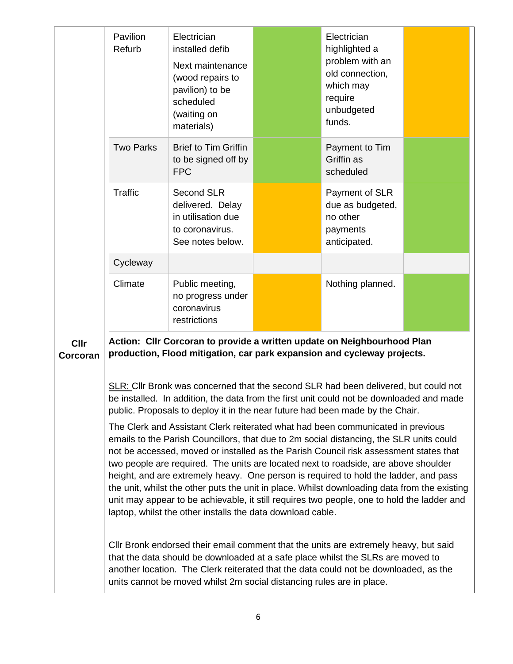|                         | Pavilion<br>Refurb                                                                                                                                                                                                                                                                                                                                                                                                                                                                                                                                                                                                                                                                                             | Electrician<br>installed defib<br>Next maintenance<br>(wood repairs to<br>pavilion) to be<br>scheduled<br>(waiting on<br>materials)                                                                                                                                                                                                      |  | Electrician<br>highlighted a<br>problem with an<br>old connection,<br>which may<br>require<br>unbudgeted<br>funds. |  |  |
|-------------------------|----------------------------------------------------------------------------------------------------------------------------------------------------------------------------------------------------------------------------------------------------------------------------------------------------------------------------------------------------------------------------------------------------------------------------------------------------------------------------------------------------------------------------------------------------------------------------------------------------------------------------------------------------------------------------------------------------------------|------------------------------------------------------------------------------------------------------------------------------------------------------------------------------------------------------------------------------------------------------------------------------------------------------------------------------------------|--|--------------------------------------------------------------------------------------------------------------------|--|--|
|                         | <b>Two Parks</b>                                                                                                                                                                                                                                                                                                                                                                                                                                                                                                                                                                                                                                                                                               | <b>Brief to Tim Griffin</b><br>to be signed off by<br><b>FPC</b>                                                                                                                                                                                                                                                                         |  | Payment to Tim<br>Griffin as<br>scheduled                                                                          |  |  |
|                         | <b>Traffic</b>                                                                                                                                                                                                                                                                                                                                                                                                                                                                                                                                                                                                                                                                                                 | <b>Second SLR</b><br>delivered. Delay<br>in utilisation due<br>to coronavirus.<br>See notes below.                                                                                                                                                                                                                                       |  | Payment of SLR<br>due as budgeted,<br>no other<br>payments<br>anticipated.                                         |  |  |
|                         | Cycleway                                                                                                                                                                                                                                                                                                                                                                                                                                                                                                                                                                                                                                                                                                       |                                                                                                                                                                                                                                                                                                                                          |  |                                                                                                                    |  |  |
|                         | Climate                                                                                                                                                                                                                                                                                                                                                                                                                                                                                                                                                                                                                                                                                                        | Public meeting,<br>no progress under<br>coronavirus<br>restrictions                                                                                                                                                                                                                                                                      |  | Nothing planned.                                                                                                   |  |  |
| <b>Cllr</b><br>Corcoran | Action: Cllr Corcoran to provide a written update on Neighbourhood Plan<br>production, Flood mitigation, car park expansion and cycleway projects.                                                                                                                                                                                                                                                                                                                                                                                                                                                                                                                                                             |                                                                                                                                                                                                                                                                                                                                          |  |                                                                                                                    |  |  |
|                         |                                                                                                                                                                                                                                                                                                                                                                                                                                                                                                                                                                                                                                                                                                                | <b>SLR:</b> Cllr Bronk was concerned that the second SLR had been delivered, but could not<br>be installed. In addition, the data from the first unit could not be downloaded and made<br>public. Proposals to deploy it in the near future had been made by the Chair.                                                                  |  |                                                                                                                    |  |  |
|                         | The Clerk and Assistant Clerk reiterated what had been communicated in previous<br>emails to the Parish Councillors, that due to 2m social distancing, the SLR units could<br>not be accessed, moved or installed as the Parish Council risk assessment states that<br>two people are required. The units are located next to roadside, are above shoulder<br>height, and are extremely heavy. One person is required to hold the ladder, and pass<br>the unit, whilst the other puts the unit in place. Whilst downloading data from the existing<br>unit may appear to be achievable, it still requires two people, one to hold the ladder and<br>laptop, whilst the other installs the data download cable. |                                                                                                                                                                                                                                                                                                                                          |  |                                                                                                                    |  |  |
|                         |                                                                                                                                                                                                                                                                                                                                                                                                                                                                                                                                                                                                                                                                                                                | CIIr Bronk endorsed their email comment that the units are extremely heavy, but said<br>that the data should be downloaded at a safe place whilst the SLRs are moved to<br>another location. The Clerk reiterated that the data could not be downloaded, as the<br>units cannot be moved whilst 2m social distancing rules are in place. |  |                                                                                                                    |  |  |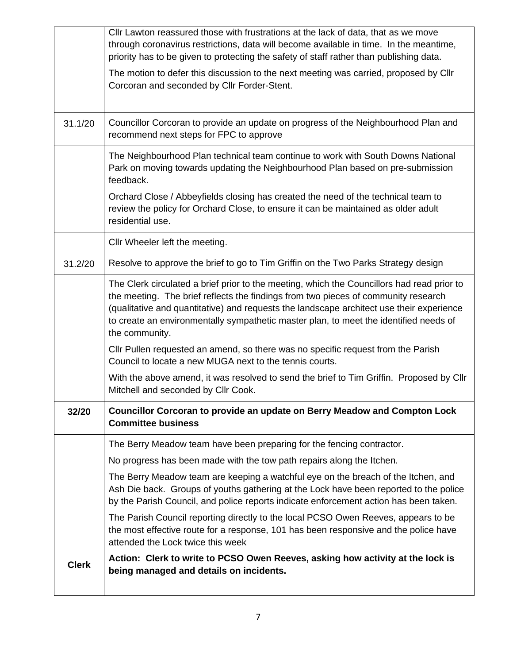|              | CIIr Lawton reassured those with frustrations at the lack of data, that as we move<br>through coronavirus restrictions, data will become available in time. In the meantime,<br>priority has to be given to protecting the safety of staff rather than publishing data.                                                                                                                 |
|--------------|-----------------------------------------------------------------------------------------------------------------------------------------------------------------------------------------------------------------------------------------------------------------------------------------------------------------------------------------------------------------------------------------|
|              | The motion to defer this discussion to the next meeting was carried, proposed by Cllr<br>Corcoran and seconded by Cllr Forder-Stent.                                                                                                                                                                                                                                                    |
|              |                                                                                                                                                                                                                                                                                                                                                                                         |
| 31.1/20      | Councillor Corcoran to provide an update on progress of the Neighbourhood Plan and<br>recommend next steps for FPC to approve                                                                                                                                                                                                                                                           |
|              | The Neighbourhood Plan technical team continue to work with South Downs National<br>Park on moving towards updating the Neighbourhood Plan based on pre-submission<br>feedback.                                                                                                                                                                                                         |
|              | Orchard Close / Abbeyfields closing has created the need of the technical team to<br>review the policy for Orchard Close, to ensure it can be maintained as older adult<br>residential use.                                                                                                                                                                                             |
|              | Cllr Wheeler left the meeting.                                                                                                                                                                                                                                                                                                                                                          |
| 31.2/20      | Resolve to approve the brief to go to Tim Griffin on the Two Parks Strategy design                                                                                                                                                                                                                                                                                                      |
|              | The Clerk circulated a brief prior to the meeting, which the Councillors had read prior to<br>the meeting. The brief reflects the findings from two pieces of community research<br>(qualitative and quantitative) and requests the landscape architect use their experience<br>to create an environmentally sympathetic master plan, to meet the identified needs of<br>the community. |
|              | CIIr Pullen requested an amend, so there was no specific request from the Parish<br>Council to locate a new MUGA next to the tennis courts.                                                                                                                                                                                                                                             |
|              | With the above amend, it was resolved to send the brief to Tim Griffin. Proposed by Cllr<br>Mitchell and seconded by Cllr Cook.                                                                                                                                                                                                                                                         |
| 32/20        | Councillor Corcoran to provide an update on Berry Meadow and Compton Lock<br><b>Committee business</b>                                                                                                                                                                                                                                                                                  |
|              | The Berry Meadow team have been preparing for the fencing contractor.                                                                                                                                                                                                                                                                                                                   |
|              | No progress has been made with the tow path repairs along the Itchen.                                                                                                                                                                                                                                                                                                                   |
|              | The Berry Meadow team are keeping a watchful eye on the breach of the Itchen, and<br>Ash Die back. Groups of youths gathering at the Lock have been reported to the police<br>by the Parish Council, and police reports indicate enforcement action has been taken.                                                                                                                     |
|              | The Parish Council reporting directly to the local PCSO Owen Reeves, appears to be<br>the most effective route for a response, 101 has been responsive and the police have<br>attended the Lock twice this week                                                                                                                                                                         |
| <b>Clerk</b> | Action: Clerk to write to PCSO Owen Reeves, asking how activity at the lock is<br>being managed and details on incidents.                                                                                                                                                                                                                                                               |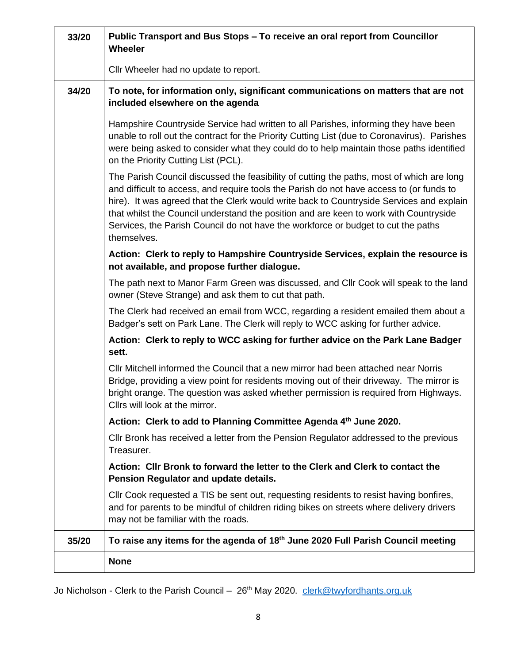| 33/20 | Public Transport and Bus Stops - To receive an oral report from Councillor<br>Wheeler                                                                                                                                                                                                                                                                                                                                                                                          |
|-------|--------------------------------------------------------------------------------------------------------------------------------------------------------------------------------------------------------------------------------------------------------------------------------------------------------------------------------------------------------------------------------------------------------------------------------------------------------------------------------|
|       | Cllr Wheeler had no update to report.                                                                                                                                                                                                                                                                                                                                                                                                                                          |
| 34/20 | To note, for information only, significant communications on matters that are not<br>included elsewhere on the agenda                                                                                                                                                                                                                                                                                                                                                          |
|       | Hampshire Countryside Service had written to all Parishes, informing they have been<br>unable to roll out the contract for the Priority Cutting List (due to Coronavirus). Parishes<br>were being asked to consider what they could do to help maintain those paths identified<br>on the Priority Cutting List (PCL).                                                                                                                                                          |
|       | The Parish Council discussed the feasibility of cutting the paths, most of which are long<br>and difficult to access, and require tools the Parish do not have access to (or funds to<br>hire). It was agreed that the Clerk would write back to Countryside Services and explain<br>that whilst the Council understand the position and are keen to work with Countryside<br>Services, the Parish Council do not have the workforce or budget to cut the paths<br>themselves. |
|       | Action: Clerk to reply to Hampshire Countryside Services, explain the resource is<br>not available, and propose further dialogue.                                                                                                                                                                                                                                                                                                                                              |
|       | The path next to Manor Farm Green was discussed, and CIIr Cook will speak to the land<br>owner (Steve Strange) and ask them to cut that path.                                                                                                                                                                                                                                                                                                                                  |
|       | The Clerk had received an email from WCC, regarding a resident emailed them about a<br>Badger's sett on Park Lane. The Clerk will reply to WCC asking for further advice.                                                                                                                                                                                                                                                                                                      |
|       | Action: Clerk to reply to WCC asking for further advice on the Park Lane Badger<br>sett.                                                                                                                                                                                                                                                                                                                                                                                       |
|       | CIIr Mitchell informed the Council that a new mirror had been attached near Norris<br>Bridge, providing a view point for residents moving out of their driveway. The mirror is<br>bright orange. The question was asked whether permission is required from Highways.<br>Cllrs will look at the mirror.                                                                                                                                                                        |
|       | Action: Clerk to add to Planning Committee Agenda 4th June 2020.                                                                                                                                                                                                                                                                                                                                                                                                               |
|       | CIIr Bronk has received a letter from the Pension Regulator addressed to the previous<br>Treasurer.                                                                                                                                                                                                                                                                                                                                                                            |
|       | Action: Cllr Bronk to forward the letter to the Clerk and Clerk to contact the<br>Pension Regulator and update details.                                                                                                                                                                                                                                                                                                                                                        |
|       | CIIr Cook requested a TIS be sent out, requesting residents to resist having bonfires,<br>and for parents to be mindful of children riding bikes on streets where delivery drivers<br>may not be familiar with the roads.                                                                                                                                                                                                                                                      |
| 35/20 | To raise any items for the agenda of 18 <sup>th</sup> June 2020 Full Parish Council meeting                                                                                                                                                                                                                                                                                                                                                                                    |
|       | <b>None</b>                                                                                                                                                                                                                                                                                                                                                                                                                                                                    |

Jo Nicholson - Clerk to the Parish Council – 26<sup>th</sup> May 2020. [clerk@twyfordhants.org.uk](mailto:clerk@twyfordhants.org.uk)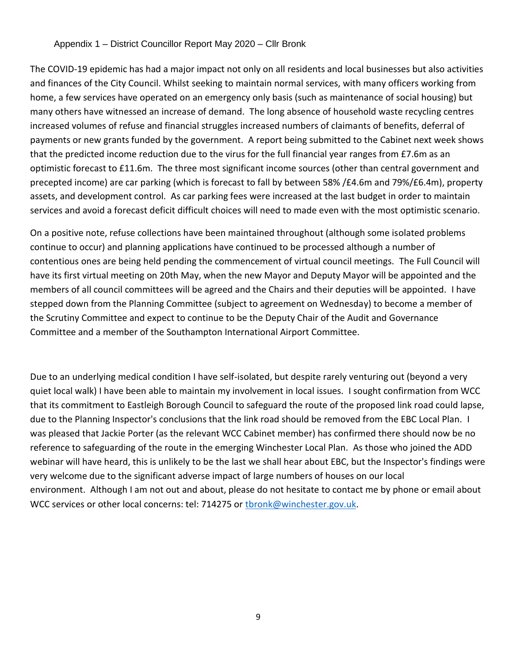#### Appendix 1 – District Councillor Report May 2020 – Cllr Bronk

The COVID-19 epidemic has had a major impact not only on all residents and local businesses but also activities and finances of the City Council. Whilst seeking to maintain normal services, with many officers working from home, a few services have operated on an emergency only basis (such as maintenance of social housing) but many others have witnessed an increase of demand. The long absence of household waste recycling centres increased volumes of refuse and financial struggles increased numbers of claimants of benefits, deferral of payments or new grants funded by the government. A report being submitted to the Cabinet next week shows that the predicted income reduction due to the virus for the full financial year ranges from £7.6m as an optimistic forecast to £11.6m. The three most significant income sources (other than central government and precepted income) are car parking (which is forecast to fall by between 58% /£4.6m and 79%/£6.4m), property assets, and development control. As car parking fees were increased at the last budget in order to maintain services and avoid a forecast deficit difficult choices will need to made even with the most optimistic scenario.

On a positive note, refuse collections have been maintained throughout (although some isolated problems continue to occur) and planning applications have continued to be processed although a number of contentious ones are being held pending the commencement of virtual council meetings. The Full Council will have its first virtual meeting on 20th May, when the new Mayor and Deputy Mayor will be appointed and the members of all council committees will be agreed and the Chairs and their deputies will be appointed. I have stepped down from the Planning Committee (subject to agreement on Wednesday) to become a member of the Scrutiny Committee and expect to continue to be the Deputy Chair of the Audit and Governance Committee and a member of the Southampton International Airport Committee.

Due to an underlying medical condition I have self-isolated, but despite rarely venturing out (beyond a very quiet local walk) I have been able to maintain my involvement in local issues. I sought confirmation from WCC that its commitment to Eastleigh Borough Council to safeguard the route of the proposed link road could lapse, due to the Planning Inspector's conclusions that the link road should be removed from the EBC Local Plan. I was pleased that Jackie Porter (as the relevant WCC Cabinet member) has confirmed there should now be no reference to safeguarding of the route in the emerging Winchester Local Plan. As those who joined the ADD webinar will have heard, this is unlikely to be the last we shall hear about EBC, but the Inspector's findings were very welcome due to the significant adverse impact of large numbers of houses on our local environment. Although I am not out and about, please do not hesitate to contact me by phone or email about WCC services or other local concerns: tel: 714275 or [tbronk@winchester.gov.uk.](mailto:tbronk@winchester.gov.uk)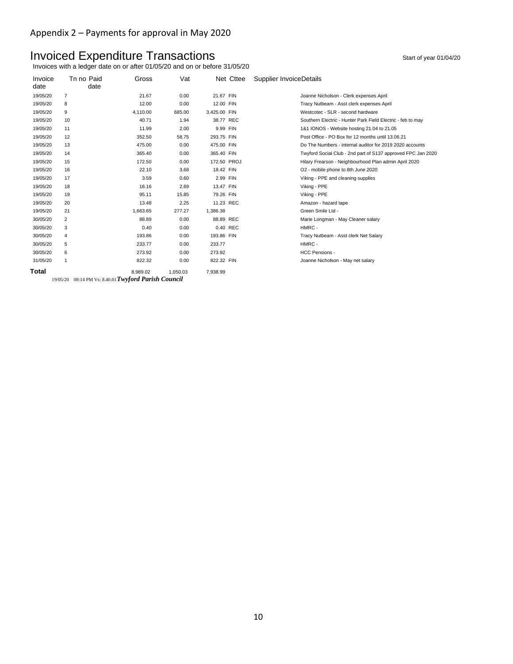### Invoiced Expenditure Transactions and the start of year 01/04/20

Invoices with a ledger date on or after 01/05/20 and on or before 31/05/20

| Invoice<br>date | Tn no Paid<br>date | Gross    | Vat      | Net Cttee    | Supplier InvoiceDetails                                      |
|-----------------|--------------------|----------|----------|--------------|--------------------------------------------------------------|
| 19/05/20        | $\overline{7}$     | 21.67    | 0.00     | 21.67 FIN    | Joanne Nicholson - Clerk expenses April                      |
| 19/05/20        | 8                  | 12.00    | 0.00     | 12.00 FIN    | Tracy Nutbeam - Asst clerk expenses April                    |
| 19/05/20        | 9                  | 4,110.00 | 685.00   | 3,425.00 FIN | Westcotec - SLR - second hardware                            |
| 19/05/20        | 10                 | 40.71    | 1.94     | 38.77 REC    | Southern Electric - Hunter Park Field Electric - feb to may  |
| 19/05/20        | 11                 | 11.99    | 2.00     | 9.99 FIN     | 1&1 IONOS - Website hosting 21.04 to 21.05                   |
| 19/05/20        | 12                 | 352.50   | 58.75    | 293.75 FIN   | Post Office - PO Box for 12 months until 13.06.21            |
| 19/05/20        | 13                 | 475.00   | 0.00     | 475.00 FIN   | Do The Numbers - internal auditor for 2019 2020 accounts     |
| 19/05/20        | 14                 | 365.40   | 0.00     | 365.40 FIN   | Twyford Social Club - 2nd part of S137 approved FPC Jan 2020 |
| 19/05/20        | 15                 | 172.50   | 0.00     | 172.50 PROJ  | Hilary Frearson - Neighbourhood Plan admin April 2020        |
| 19/05/20        | 16                 | 22.10    | 3.68     | 18.42 FIN    | O2 - mobile phone to 8th June 2020                           |
| 19/05/20        | 17                 | 3.59     | 0.60     | 2.99 FIN     | Viking - PPE and cleaning supplies                           |
| 19/05/20        | 18                 | 16.16    | 2.69     | 13.47 FIN    | Viking - PPE                                                 |
| 19/05/20        | 19                 | 95.11    | 15.85    | 79.26 FIN    | Viking - PPE                                                 |
| 19/05/20        | 20                 | 13.48    | 2.25     | 11.23 REC    | Amazon - hazard tape                                         |
| 19/05/20        | 21                 | 1,663.65 | 277.27   | 1,386.38     | Green Smile Ltd -                                            |
| 30/05/20        | 2                  | 88.89    | 0.00     | 88.89 REC    | Marie Longman - May Cleaner salary                           |
| 30/05/20        | 3                  | 0.40     | 0.00     | 0.40 REC     | HMRC -                                                       |
| 30/05/20        | 4                  | 193.86   | 0.00     | 193.86 FIN   | Tracy Nutbeam - Asst clerk Net Salary                        |
| 30/05/20        | 5                  | 233.77   | 0.00     | 233.77       | HMRC -                                                       |
| 30/05/20        | 6                  | 273.92   | 0.00     | 273.92       | <b>HCC Pensions -</b>                                        |
| 31/05/20        | 1                  | 822.32   | 0.00     | 822.32 FIN   | Joanne Nicholson - May net salary                            |
| Total           |                    | 8.989.02 | 1,050.03 | 7,938.99     |                                                              |

19/05/20 08:14 PM Vs: 8.40.01*Twyford Parish Council*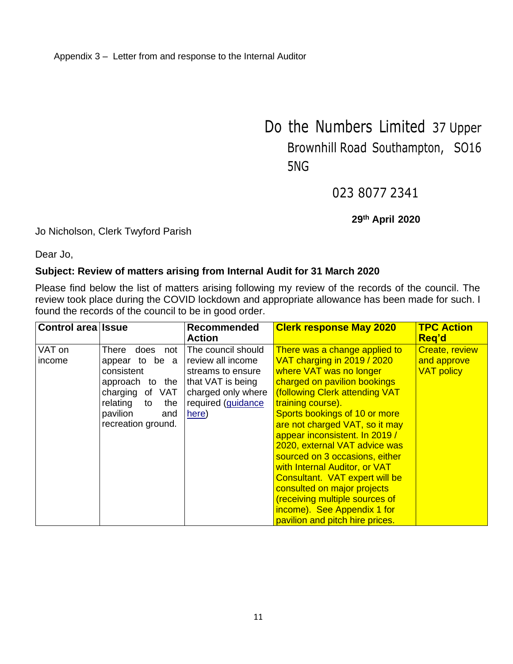Do the Numbers Limited 37 Upper Brownhill Road Southampton, SO16 5NG

023 8077 2341

#### **29th April 2020**

#### Jo Nicholson, Clerk Twyford Parish

Dear Jo,

#### **Subject: Review of matters arising from Internal Audit for 31 March 2020**

Please find below the list of matters arising following my review of the records of the council. The review took place during the COVID lockdown and appropriate allowance has been made for such. I found the records of the council to be in good order.

| Control area Issue |                                                                                                                                                              | <b>Recommended</b><br><b>Action</b>                                                                                                    | <b>Clerk response May 2020</b>                                                                                                                                                                                                                                                                                                                                                                                                                                                                                                                               | <b>TPC Action</b><br>Reg'd                                |
|--------------------|--------------------------------------------------------------------------------------------------------------------------------------------------------------|----------------------------------------------------------------------------------------------------------------------------------------|--------------------------------------------------------------------------------------------------------------------------------------------------------------------------------------------------------------------------------------------------------------------------------------------------------------------------------------------------------------------------------------------------------------------------------------------------------------------------------------------------------------------------------------------------------------|-----------------------------------------------------------|
| VAT on<br>income   | does<br>There<br>not<br>appear to be a<br>consistent<br>approach to the<br>charging of VAT<br>relating<br>the<br>to<br>pavilion<br>and<br>recreation ground. | The council should<br>review all income<br>streams to ensure<br>that VAT is being<br>charged only where<br>required (guidance<br>here) | There was a change applied to<br>VAT charging in 2019 / 2020<br>where VAT was no longer<br>charged on pavilion bookings<br>(following Clerk attending VAT<br>training course).<br>Sports bookings of 10 or more<br>are not charged VAT, so it may<br>appear inconsistent. In 2019 /<br>2020, external VAT advice was<br>sourced on 3 occasions, either<br>with Internal Auditor, or VAT<br>Consultant. VAT expert will be<br>consulted on major projects<br>(receiving multiple sources of<br>income). See Appendix 1 for<br>pavilion and pitch hire prices. | <b>Create, review</b><br>and approve<br><b>VAT policy</b> |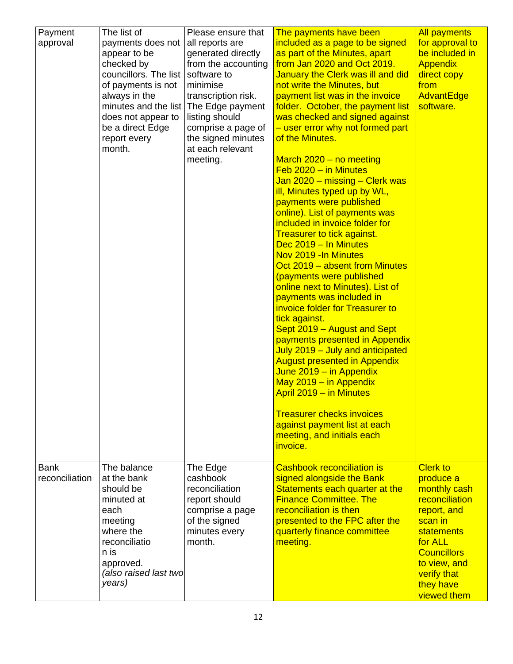| Payment<br>approval           | The list of<br>payments does not<br>appear to be<br>checked by<br>councillors. The list<br>of payments is not<br>always in the<br>minutes and the list<br>does not appear to<br>be a direct Edge<br>report every<br>month. | Please ensure that<br>all reports are<br>generated directly<br>from the accounting<br>software to<br>minimise<br>transcription risk.<br>The Edge payment<br>listing should<br>comprise a page of<br>the signed minutes<br>at each relevant<br>meeting. | The payments have been<br>included as a page to be signed<br>as part of the Minutes, apart<br>from Jan 2020 and Oct 2019.<br>January the Clerk was ill and did<br>not write the Minutes, but<br>payment list was in the invoice<br>folder. October, the payment list<br>was checked and signed against<br>- user error why not formed part<br>of the Minutes.<br>March $2020 - no$ meeting<br>$Feb 2020 - in$ Minutes<br>Jan 2020 – missing – Clerk was<br>ill, Minutes typed up by WL,<br>payments were published<br>online). List of payments was<br>included in invoice folder for<br><b>Treasurer to tick against.</b><br>Dec 2019 - In Minutes<br>Nov 2019 - In Minutes<br>Oct 2019 – absent from Minutes<br>(payments were published<br>online next to Minutes). List of<br>payments was included in<br>invoice folder for Treasurer to<br>tick against.<br>Sept 2019 - August and Sept<br>payments presented in Appendix<br>July 2019 - July and anticipated<br><b>August presented in Appendix</b><br>June 2019 - in Appendix<br>May $2019 - in Appendix$<br>April 2019 - in Minutes<br><b>Treasurer checks invoices</b><br>against payment list at each<br>meeting, and initials each<br>invoice. | <b>All payments</b><br>for approval to<br>be included in<br><b>Appendix</b><br>direct copy<br>from<br>AdvantEdge<br>software.                                                                      |
|-------------------------------|----------------------------------------------------------------------------------------------------------------------------------------------------------------------------------------------------------------------------|--------------------------------------------------------------------------------------------------------------------------------------------------------------------------------------------------------------------------------------------------------|------------------------------------------------------------------------------------------------------------------------------------------------------------------------------------------------------------------------------------------------------------------------------------------------------------------------------------------------------------------------------------------------------------------------------------------------------------------------------------------------------------------------------------------------------------------------------------------------------------------------------------------------------------------------------------------------------------------------------------------------------------------------------------------------------------------------------------------------------------------------------------------------------------------------------------------------------------------------------------------------------------------------------------------------------------------------------------------------------------------------------------------------------------------------------------------------------------|----------------------------------------------------------------------------------------------------------------------------------------------------------------------------------------------------|
| <b>Bank</b><br>reconciliation | The balance<br>at the bank<br>should be<br>minuted at<br>each<br>meeting<br>where the<br>reconciliatio<br>n is<br>approved.<br>(also raised last two<br>years)                                                             | The Edge<br>cashbook<br>reconciliation<br>report should<br>comprise a page<br>of the signed<br>minutes every<br>month.                                                                                                                                 | Cashbook reconciliation is<br>signed alongside the Bank<br>Statements each quarter at the<br><b>Finance Committee. The</b><br>reconciliation is then<br>presented to the FPC after the<br>quarterly finance committee<br>meeting.                                                                                                                                                                                                                                                                                                                                                                                                                                                                                                                                                                                                                                                                                                                                                                                                                                                                                                                                                                          | <b>Clerk to</b><br>produce a<br>monthly cash<br>reconciliation<br>report, and<br>scan in<br>statements<br>for ALL<br><b>Councillors</b><br>to view, and<br>verify that<br>they have<br>viewed them |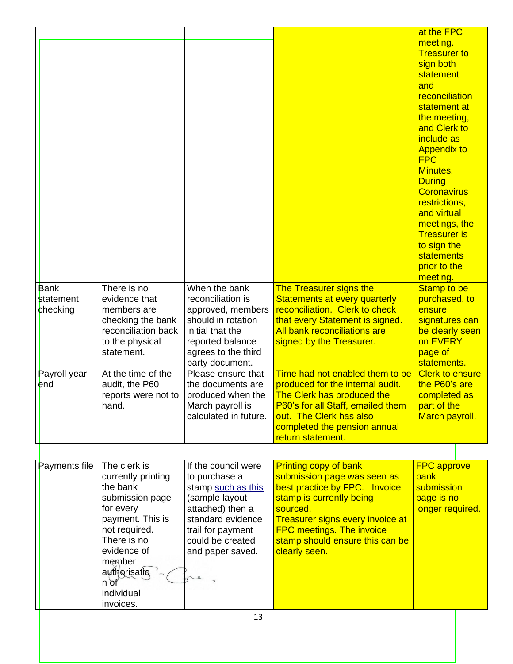|               |                     |                       |                                         | at the FPC             |  |
|---------------|---------------------|-----------------------|-----------------------------------------|------------------------|--|
|               |                     |                       |                                         | meeting.               |  |
|               |                     |                       |                                         | <b>Treasurer to</b>    |  |
|               |                     |                       |                                         | sign both              |  |
|               |                     |                       |                                         | statement              |  |
|               |                     |                       |                                         | and                    |  |
|               |                     |                       |                                         | reconciliation         |  |
|               |                     |                       |                                         | statement at           |  |
|               |                     |                       |                                         | the meeting,           |  |
|               |                     |                       |                                         | and Clerk to           |  |
|               |                     |                       |                                         | include as             |  |
|               |                     |                       |                                         | <b>Appendix to</b>     |  |
|               |                     |                       |                                         | <b>FPC</b>             |  |
|               |                     |                       |                                         | <b>Minutes.</b>        |  |
|               |                     |                       |                                         | <b>During</b>          |  |
|               |                     |                       |                                         | <b>Coronavirus</b>     |  |
|               |                     |                       |                                         | restrictions,          |  |
|               |                     |                       |                                         | and virtual            |  |
|               |                     |                       |                                         | meetings, the          |  |
|               |                     |                       |                                         | <b>Treasurer is</b>    |  |
|               |                     |                       |                                         | to sign the            |  |
|               |                     |                       |                                         |                        |  |
|               |                     |                       |                                         | <b>statements</b>      |  |
|               |                     |                       |                                         | prior to the           |  |
|               |                     |                       |                                         | meeting.               |  |
| <b>Bank</b>   | There is no         | When the bank         | <b>The Treasurer signs the</b>          | <b>Stamp to be</b>     |  |
| statement     | evidence that       | reconciliation is     | Statements at every quarterly           | purchased, to          |  |
| checking      | members are         | approved, members     | reconciliation. Clerk to check          | ensure                 |  |
|               | checking the bank   | should in rotation    | that every Statement is signed.         | signatures can         |  |
|               | reconciliation back | initial that the      | All bank reconciliations are            | be clearly seen        |  |
|               | to the physical     | reported balance      | signed by the Treasurer.                | on EVERY               |  |
|               | statement.          | agrees to the third   |                                         | page of                |  |
|               |                     | party document.       |                                         | statements.            |  |
| Payroll year  | At the time of the  | Please ensure that    | Time had not enabled them to be         | <b>Clerk to ensure</b> |  |
| end           | audit, the P60      | the documents are     | produced for the internal audit.        | the P60's are          |  |
|               | reports were not to | produced when the     | <b>The Clerk has produced the</b>       | completed as           |  |
|               | hand.               | March payroll is      | P60's for all Staff, emailed them       | part of the            |  |
|               |                     | calculated in future. | out. The Clerk has also                 | March payroll.         |  |
|               |                     |                       | completed the pension annual            |                        |  |
|               |                     |                       | return statement.                       |                        |  |
|               |                     |                       |                                         |                        |  |
|               |                     |                       |                                         |                        |  |
| Payments file | The clerk is        | If the council were   | <b>Printing copy of bank</b>            | <b>FPC approve</b>     |  |
|               | currently printing  | to purchase a         | submission page was seen as             | bank                   |  |
|               | the bank            | stamp such as this    | best practice by FPC. Invoice           | submission             |  |
|               | submission page     | (sample layout        | stamp is currently being                | page is no             |  |
|               | for every           | attached) then a      | sourced.                                | longer required.       |  |
|               | payment. This is    | standard evidence     | <b>Treasurer signs every invoice at</b> |                        |  |
|               | not required.       | trail for payment     | <b>FPC meetings. The invoice</b>        |                        |  |
|               | There is no         | could be created      | stamp should ensure this can be         |                        |  |
|               | evidence of         | and paper saved.      | clearly seen.                           |                        |  |
|               | member              |                       |                                         |                        |  |
|               | authorisatio        |                       |                                         |                        |  |
|               | $n \delta f$        |                       |                                         |                        |  |
|               | individual          |                       |                                         |                        |  |
|               | invoices.           |                       |                                         |                        |  |
|               |                     | 13                    |                                         |                        |  |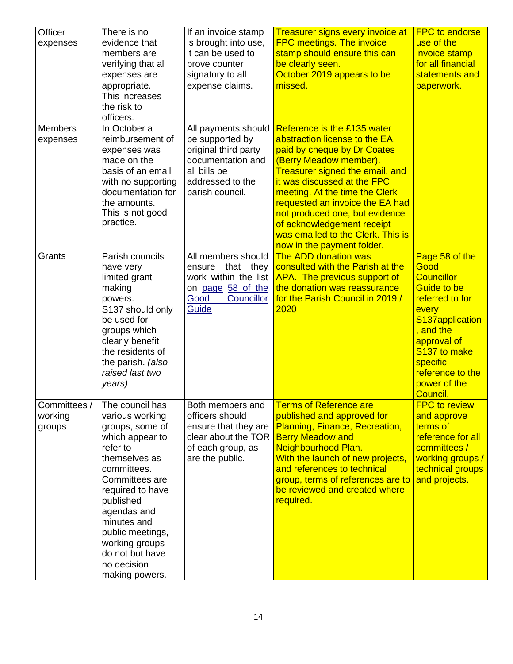| Officer<br>expenses               | There is no<br>evidence that<br>members are<br>verifying that all<br>expenses are<br>appropriate.<br>This increases<br>the risk to<br>officers.                                                                                                                                                 | If an invoice stamp<br>is brought into use,<br>it can be used to<br>prove counter<br>signatory to all<br>expense claims.                   | <b>Treasurer signs every invoice at</b><br><b>FPC meetings. The invoice</b><br>stamp should ensure this can<br>be clearly seen.<br>October 2019 appears to be<br>missed.                                                                                                                                                                                                                         | <b>FPC to endorse</b><br>use of the<br>invoice stamp<br>for all financial<br>statements and<br>paperwork.                                                                                                                |
|-----------------------------------|-------------------------------------------------------------------------------------------------------------------------------------------------------------------------------------------------------------------------------------------------------------------------------------------------|--------------------------------------------------------------------------------------------------------------------------------------------|--------------------------------------------------------------------------------------------------------------------------------------------------------------------------------------------------------------------------------------------------------------------------------------------------------------------------------------------------------------------------------------------------|--------------------------------------------------------------------------------------------------------------------------------------------------------------------------------------------------------------------------|
| <b>Members</b><br>expenses        | In October a<br>reimbursement of<br>expenses was<br>made on the<br>basis of an email<br>with no supporting<br>documentation for<br>the amounts.<br>This is not good<br>practice.                                                                                                                | All payments should<br>be supported by<br>original third party<br>documentation and<br>all bills be<br>addressed to the<br>parish council. | Reference is the £135 water<br>abstraction license to the EA,<br>paid by cheque by Dr Coates<br>(Berry Meadow member).<br>Treasurer signed the email, and<br>it was discussed at the FPC<br>meeting. At the time the Clerk<br>requested an invoice the EA had<br>not produced one, but evidence<br>of acknowledgement receipt<br>was emailed to the Clerk. This is<br>now in the payment folder. |                                                                                                                                                                                                                          |
| Grants                            | Parish councils<br>have very<br>limited grant<br>making<br>powers.<br>S137 should only<br>be used for<br>groups which<br>clearly benefit<br>the residents of<br>the parish. (also<br>raised last two<br>years)                                                                                  | All members should<br>that they<br>ensure<br>work within the list<br>on page 58 of the<br>Good<br>Councillor<br>Guide                      | The ADD donation was<br>consulted with the Parish at the<br>APA. The previous support of<br>the donation was reassurance<br>for the Parish Council in 2019 /<br>2020                                                                                                                                                                                                                             | Page 58 of the<br>Good<br><b>Councillor</b><br><b>Guide to be</b><br>referred to for<br>every<br>S137application<br>, and the<br>approval of<br>S137 to make<br>specific<br>reference to the<br>power of the<br>Council. |
| Committees /<br>working<br>groups | The council has<br>various working<br>groups, some of<br>which appear to<br>refer to<br>themselves as<br>committees.<br>Committees are<br>required to have<br>published<br>agendas and<br>minutes and<br>public meetings,<br>working groups<br>do not but have<br>no decision<br>making powers. | Both members and<br>officers should<br>ensure that they are<br>clear about the TOR<br>of each group, as<br>are the public.                 | <b>Terms of Reference are</b><br>published and approved for<br>Planning, Finance, Recreation,<br><b>Berry Meadow and</b><br>Neighbourhood Plan.<br>With the launch of new projects,<br>and references to technical<br>group, terms of references are to<br>be reviewed and created where<br>required.                                                                                            | <b>FPC to review</b><br>and approve<br>terms of<br>reference for all<br>committees /<br>working groups /<br>technical groups<br>and projects.                                                                            |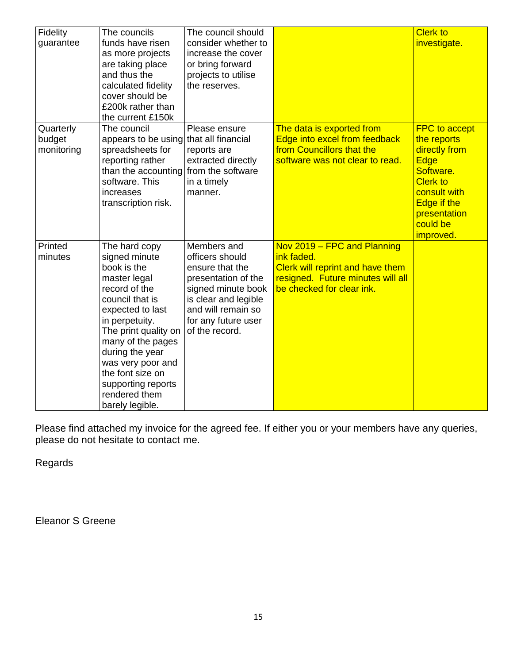| Fidelity   | The councils                           | The council should   |                                   | <b>Clerk to</b>      |
|------------|----------------------------------------|----------------------|-----------------------------------|----------------------|
| guarantee  | funds have risen                       | consider whether to  |                                   | investigate.         |
|            | as more projects                       | increase the cover   |                                   |                      |
|            | are taking place                       | or bring forward     |                                   |                      |
|            | and thus the                           | projects to utilise  |                                   |                      |
|            | calculated fidelity                    | the reserves.        |                                   |                      |
|            | cover should be<br>£200k rather than   |                      |                                   |                      |
|            | the current £150k                      |                      |                                   |                      |
| Quarterly  | The council                            | Please ensure        | The data is exported from         | <b>FPC</b> to accept |
| budget     | appears to be using that all financial |                      | Edge into excel from feedback     | the reports          |
| monitoring | spreadsheets for                       | reports are          | from Councillors that the         | directly from        |
|            | reporting rather                       | extracted directly   | software was not clear to read.   | Edge                 |
|            | than the accounting from the software  |                      |                                   | Software.            |
|            | software. This                         | in a timely          |                                   | <b>Clerk to</b>      |
|            | increases                              | manner.              |                                   | consult with         |
|            | transcription risk.                    |                      |                                   | Edge if the          |
|            |                                        |                      |                                   | presentation         |
|            |                                        |                      |                                   | could be             |
|            |                                        |                      |                                   | <i>improved.</i>     |
| Printed    | The hard copy                          | Members and          | Nov 2019 - FPC and Planning       |                      |
| minutes    | signed minute                          | officers should      | ink faded.                        |                      |
|            | book is the                            | ensure that the      | Clerk will reprint and have them  |                      |
|            | master legal                           | presentation of the  | resigned. Future minutes will all |                      |
|            | record of the                          | signed minute book   | be checked for clear ink.         |                      |
|            | council that is                        | is clear and legible |                                   |                      |
|            | expected to last                       | and will remain so   |                                   |                      |
|            | in perpetuity.                         | for any future user  |                                   |                      |
|            | The print quality on                   | of the record.       |                                   |                      |
|            | many of the pages<br>during the year   |                      |                                   |                      |
|            | was very poor and                      |                      |                                   |                      |
|            | the font size on                       |                      |                                   |                      |
|            | supporting reports                     |                      |                                   |                      |
|            | rendered them                          |                      |                                   |                      |
|            | barely legible.                        |                      |                                   |                      |

Please find attached my invoice for the agreed fee. If either you or your members have any queries, please do not hesitate to contact me.

Regards

Eleanor S Greene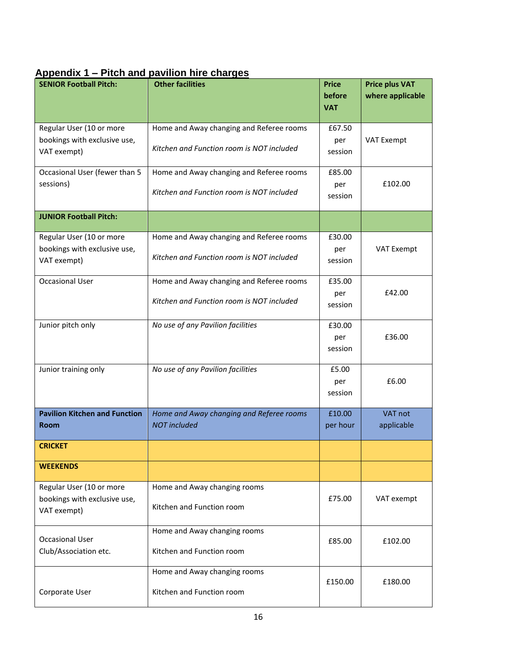### **Appendix 1 – Pitch and pavilion hire charges**

| <b>SENIOR Football Pitch:</b>               | <b>Other facilities</b>                   | <b>Price</b> | <b>Price plus VAT</b> |
|---------------------------------------------|-------------------------------------------|--------------|-----------------------|
|                                             |                                           | before       | where applicable      |
|                                             |                                           | <b>VAT</b>   |                       |
| Regular User (10 or more                    | Home and Away changing and Referee rooms  | £67.50       |                       |
| bookings with exclusive use,                | Kitchen and Function room is NOT included | per          | <b>VAT Exempt</b>     |
| VAT exempt)                                 |                                           | session      |                       |
| Occasional User (fewer than 5               | Home and Away changing and Referee rooms  | £85.00       |                       |
| sessions)                                   | Kitchen and Function room is NOT included | per          | £102.00               |
|                                             |                                           | session      |                       |
| <b>JUNIOR Football Pitch:</b>               |                                           |              |                       |
| Regular User (10 or more                    | Home and Away changing and Referee rooms  | £30.00       |                       |
| bookings with exclusive use,                | Kitchen and Function room is NOT included | per          | VAT Exempt            |
| VAT exempt)                                 |                                           | session      |                       |
| <b>Occasional User</b>                      | Home and Away changing and Referee rooms  | £35.00       |                       |
|                                             | Kitchen and Function room is NOT included | per          | £42.00                |
|                                             |                                           | session      |                       |
| Junior pitch only                           | No use of any Pavilion facilities         | £30.00       |                       |
|                                             |                                           | per          | £36.00                |
|                                             |                                           | session      |                       |
| Junior training only                        | No use of any Pavilion facilities         | £5.00        |                       |
|                                             |                                           | per          | £6.00                 |
|                                             |                                           | session      |                       |
| <b>Pavilion Kitchen and Function</b>        | Home and Away changing and Referee rooms  | £10.00       | VAT not               |
| <b>Room</b>                                 | <b>NOT</b> included                       | per hour     | applicable            |
| <b>CRICKET</b>                              |                                           |              |                       |
| <b>WEEKENDS</b>                             |                                           |              |                       |
| Regular User (10 or more                    | Home and Away changing rooms              |              |                       |
| bookings with exclusive use,<br>VAT exempt) | Kitchen and Function room                 | £75.00       | VAT exempt            |
|                                             |                                           |              |                       |
| <b>Occasional User</b>                      | Home and Away changing rooms              |              |                       |
| Club/Association etc.                       | Kitchen and Function room                 | £85.00       | £102.00               |
|                                             |                                           |              |                       |
|                                             | Home and Away changing rooms              | £150.00      | £180.00               |
| Corporate User                              | Kitchen and Function room                 |              |                       |
|                                             |                                           |              |                       |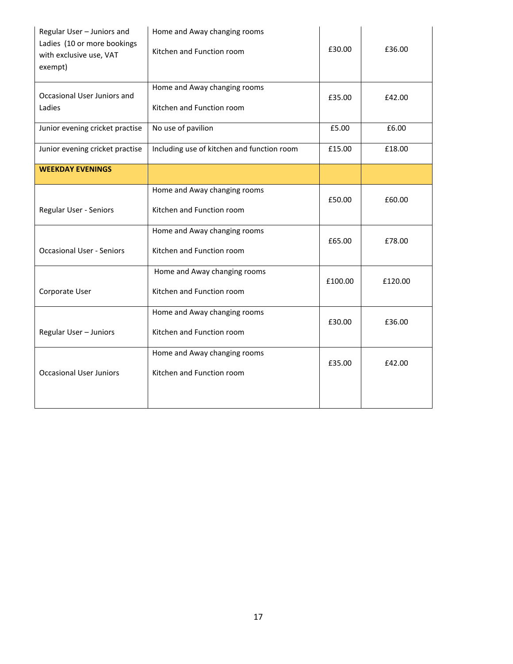| Regular User - Juniors and<br>Ladies (10 or more bookings<br>with exclusive use, VAT<br>exempt) | Home and Away changing rooms<br>Kitchen and Function room | £30.00  | £36.00  |
|-------------------------------------------------------------------------------------------------|-----------------------------------------------------------|---------|---------|
| Occasional User Juniors and<br>Ladies                                                           | Home and Away changing rooms<br>Kitchen and Function room | £35.00  | £42.00  |
| Junior evening cricket practise                                                                 | No use of pavilion                                        | £5.00   | £6.00   |
| Junior evening cricket practise                                                                 | Including use of kitchen and function room                | £15.00  | £18.00  |
| <b>WEEKDAY EVENINGS</b>                                                                         |                                                           |         |         |
| Regular User - Seniors                                                                          | Home and Away changing rooms<br>Kitchen and Function room | £50.00  | £60.00  |
| <b>Occasional User - Seniors</b>                                                                | Home and Away changing rooms<br>Kitchen and Function room | £65.00  | £78.00  |
| Corporate User                                                                                  | Home and Away changing rooms<br>Kitchen and Function room | £100.00 | £120.00 |
| Regular User - Juniors                                                                          | Home and Away changing rooms<br>Kitchen and Function room | £30.00  | £36.00  |
| <b>Occasional User Juniors</b>                                                                  | Home and Away changing rooms<br>Kitchen and Function room | £35.00  | £42.00  |